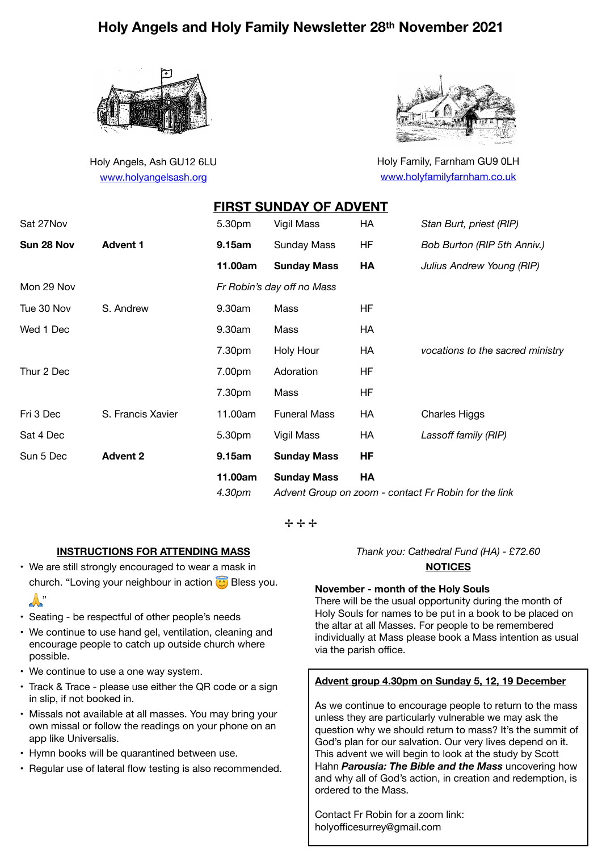# **Holy Angels and Holy Family Newsletter 28th November 2021**

**FIRST SUNDAY OF ADVENT** 



Holy Angels, Ash GU12 6LU [www.holyangelsash.org](http://www.holyangelsash.org)



Holy Family, Farnham GU9 0LH [www.holyfamilyfarnham.co.uk](http://www.holyfamilyfarnham.co.uk)

|            |                   |                   | FIRST SUNDAY OF ADVENT                                                           |           |                                  |
|------------|-------------------|-------------------|----------------------------------------------------------------------------------|-----------|----------------------------------|
| Sat 27Nov  |                   | 5.30pm            | Vigil Mass                                                                       | HA        | Stan Burt, priest (RIP)          |
| Sun 28 Nov | <b>Advent 1</b>   | 9.15am            | <b>Sunday Mass</b>                                                               | HF        | Bob Burton (RIP 5th Anniv.)      |
|            |                   | 11.00am           | <b>Sunday Mass</b>                                                               | HA        | Julius Andrew Young (RIP)        |
| Mon 29 Nov |                   |                   | Fr Robin's day off no Mass                                                       |           |                                  |
| Tue 30 Nov | S. Andrew         | 9.30am            | Mass                                                                             | <b>HF</b> |                                  |
| Wed 1 Dec  |                   | 9.30am            | Mass                                                                             | HA        |                                  |
|            |                   | 7.30pm            | Holy Hour                                                                        | HA        | vocations to the sacred ministry |
| Thur 2 Dec |                   | 7.00pm            | Adoration                                                                        | <b>HF</b> |                                  |
|            |                   | 7.30pm            | Mass                                                                             | <b>HF</b> |                                  |
| Fri 3 Dec  | S. Francis Xavier | 11.00am           | <b>Funeral Mass</b>                                                              | HA        | <b>Charles Higgs</b>             |
| Sat 4 Dec  |                   | 5.30pm            | Vigil Mass                                                                       | HA        | Lassoff family (RIP)             |
| Sun 5 Dec  | <b>Advent 2</b>   | 9.15am            | <b>Sunday Mass</b>                                                               | <b>HF</b> |                                  |
|            |                   | 11.00am<br>4.30pm | <b>Sunday Mass</b><br>HA<br>Advent Group on zoom - contact Fr Robin for the link |           |                                  |

✢ ✢ ✢

## **INSTRUCTIONS FOR ATTENDING MASS**

• We are still strongly encouraged to wear a mask in church. "Loving your neighbour in action  $\circled{c}$  Bless you.

## $\mathbb{R}^n$

- Seating be respectful of other people's needs
- We continue to use hand gel, ventilation, cleaning and encourage people to catch up outside church where possible.
- We continue to use a one way system.
- Track & Trace please use either the QR code or a sign in slip, if not booked in.
- Missals not available at all masses. You may bring your own missal or follow the readings on your phone on an app like Universalis.
- Hymn books will be quarantined between use.
- Regular use of lateral flow testing is also recommended.

*Thank you: Cathedral Fund (HA) - £72.60* 

### **NOTICES**

#### **November - month of the Holy Souls**

There will be the usual opportunity during the month of Holy Souls for names to be put in a book to be placed on the altar at all Masses. For people to be remembered individually at Mass please book a Mass intention as usual via the parish office.

#### **Advent group 4.30pm on Sunday 5, 12, 19 December**

As we continue to encourage people to return to the mass unless they are particularly vulnerable we may ask the question why we should return to mass? It's the summit of God's plan for our salvation. Our very lives depend on it. This advent we will begin to look at the study by Scott Hahn *Parousia: The Bible and the Mass* uncovering how and why all of God's action, in creation and redemption, is ordered to the Mass.

Contact Fr Robin for a zoom link: holyofficesurrey@gmail.com